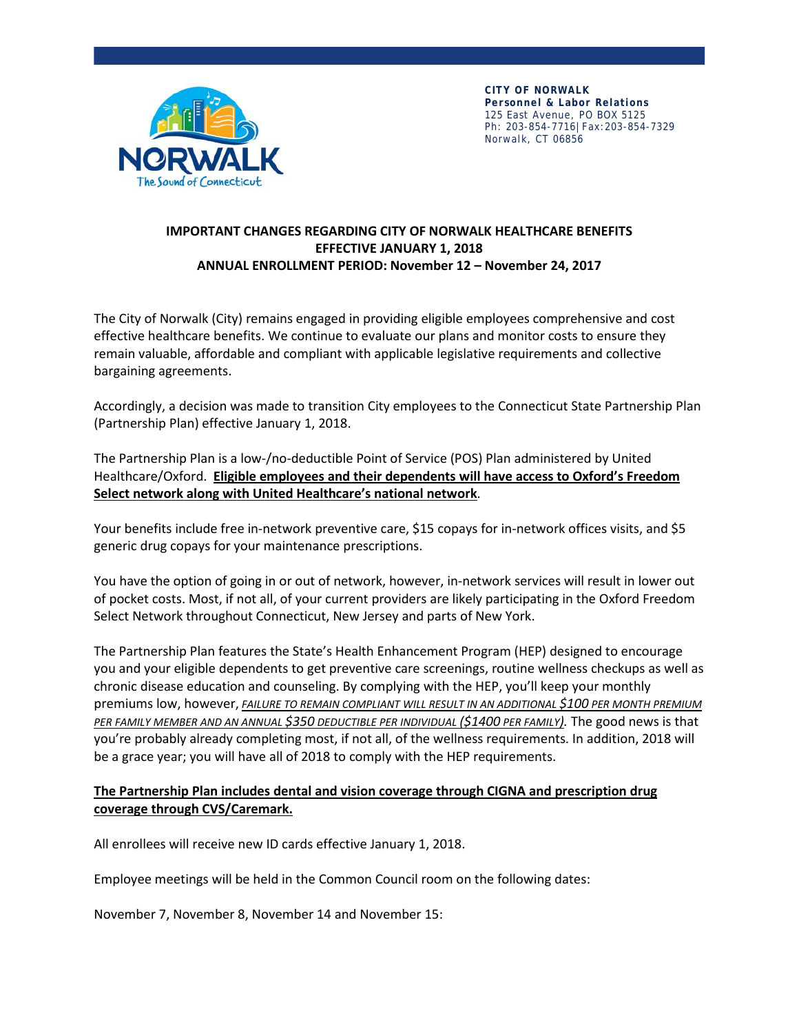

**CITY OF NORWALK Personnel & Labor Relations** 125 East Avenue, PO BOX 5125 Ph: 203-854-7716|Fax:203-854-7329 Norwalk, CT 06856

### **IMPORTANT CHANGES REGARDING CITY OF NORWALK HEALTHCARE BENEFITS EFFECTIVE JANUARY 1, 2018 ANNUAL ENROLLMENT PERIOD: November 12 – November 24, 2017**

The City of Norwalk (City) remains engaged in providing eligible employees comprehensive and cost effective healthcare benefits. We continue to evaluate our plans and monitor costs to ensure they remain valuable, affordable and compliant with applicable legislative requirements and collective bargaining agreements.

Accordingly, a decision was made to transition City employees to the Connecticut State Partnership Plan (Partnership Plan) effective January 1, 2018.

The Partnership Plan is a low-/no-deductible Point of Service (POS) Plan administered by United Healthcare/Oxford. **Eligible employees and their dependents will have access to Oxford's Freedom Select network along with United Healthcare's national network**.

Your benefits include free in-network preventive care, \$15 copays for in-network offices visits, and \$5 generic drug copays for your maintenance prescriptions.

You have the option of going in or out of network, however, in-network services will result in lower out of pocket costs. Most, if not all, of your current providers are likely participating in the Oxford Freedom Select Network throughout Connecticut, New Jersey and parts of New York.

The Partnership Plan features the State's Health Enhancement Program (HEP) designed to encourage you and your eligible dependents to get preventive care screenings, routine wellness checkups as well as chronic disease education and counseling. By complying with the HEP, you'll keep your monthly premiums low, however, *FAILURE TO REMAIN COMPLIANT WILL RESULT IN AN ADDITIONAL \$100 PER MONTH PREMIUM PER FAMILY MEMBER AND AN ANNUAL \$350 DEDUCTIBLE PER INDIVIDUAL (\$1400 PER FAMILY).* The good news is that you're probably already completing most, if not all, of the wellness requirements. In addition, 2018 will be a grace year; you will have all of 2018 to comply with the HEP requirements.

## **The Partnership Plan includes dental and vision coverage through CIGNA and prescription drug coverage through CVS/Caremark.**

All enrollees will receive new ID cards effective January 1, 2018.

Employee meetings will be held in the Common Council room on the following dates:

November 7, November 8, November 14 and November 15: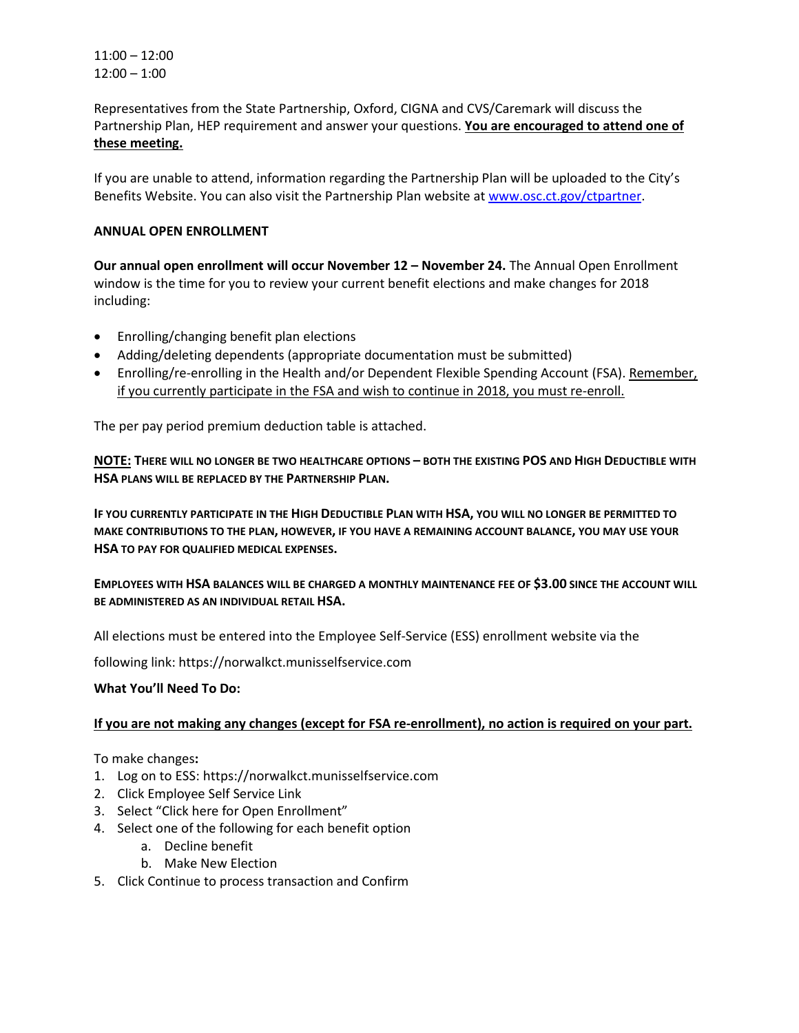11:00 – 12:00 12:00 – 1:00

Representatives from the State Partnership, Oxford, CIGNA and CVS/Caremark will discuss the Partnership Plan, HEP requirement and answer your questions. **You are encouraged to attend one of these meeting.**

If you are unable to attend, information regarding the Partnership Plan will be uploaded to the City's Benefits Website. You can also visit the Partnership Plan website a[t www.osc.ct.gov/ctpartner.](http://www.osc.ct.gov/ctpartner)

### **ANNUAL OPEN ENROLLMENT**

**Our annual open enrollment will occur November 12 - November 24.** The Annual Open Enrollment window is the time for you to review your current benefit elections and make changes for 2018 including:

- Enrolling/changing benefit plan elections
- Adding/deleting dependents (appropriate documentation must be submitted)
- Enrolling/re-enrolling in the Health and/or Dependent Flexible Spending Account (FSA). Remember, if you currently participate in the FSA and wish to continue in 2018, you must re-enroll.

The per pay period premium deduction table is attached.

**NOTE: THERE WILL NO LONGER BE TWO HEALTHCARE OPTIONS – BOTH THE EXISTING POS AND HIGH DEDUCTIBLE WITH HSA PLANS WILL BE REPLACED BY THE PARTNERSHIP PLAN.**

**IF YOU CURRENTLY PARTICIPATE IN THE HIGH DEDUCTIBLE PLAN WITH HSA, YOU WILL NO LONGER BE PERMITTED TO MAKE CONTRIBUTIONS TO THE PLAN, HOWEVER, IF YOU HAVE A REMAINING ACCOUNT BALANCE, YOU MAY USE YOUR HSA TO PAY FOR QUALIFIED MEDICAL EXPENSES.**

**EMPLOYEES WITH HSA BALANCES WILL BE CHARGED A MONTHLY MAINTENANCE FEE OF \$3.00 SINCE THE ACCOUNT WILL BE ADMINISTERED AS AN INDIVIDUAL RETAIL HSA.**

All elections must be entered into the Employee Self-Service (ESS) enrollment website via the

following link: <https://norwalkct.munisselfservice.com>

### **What You'll Need To Do:**

### **If you are not making any changes (except for FSA re-enrollment), no action is required on your part.**

To make changes**:** 

- 1. Log on to ESS: <https://norwalkct.munisselfservice.com>
- 2. Click Employee Self Service Link
- 3. Select "Click here for Open Enrollment"
- 4. Select one of the following for each benefit option
	- a. Decline benefit
	- b. Make New Election
- 5. Click Continue to process transaction and Confirm